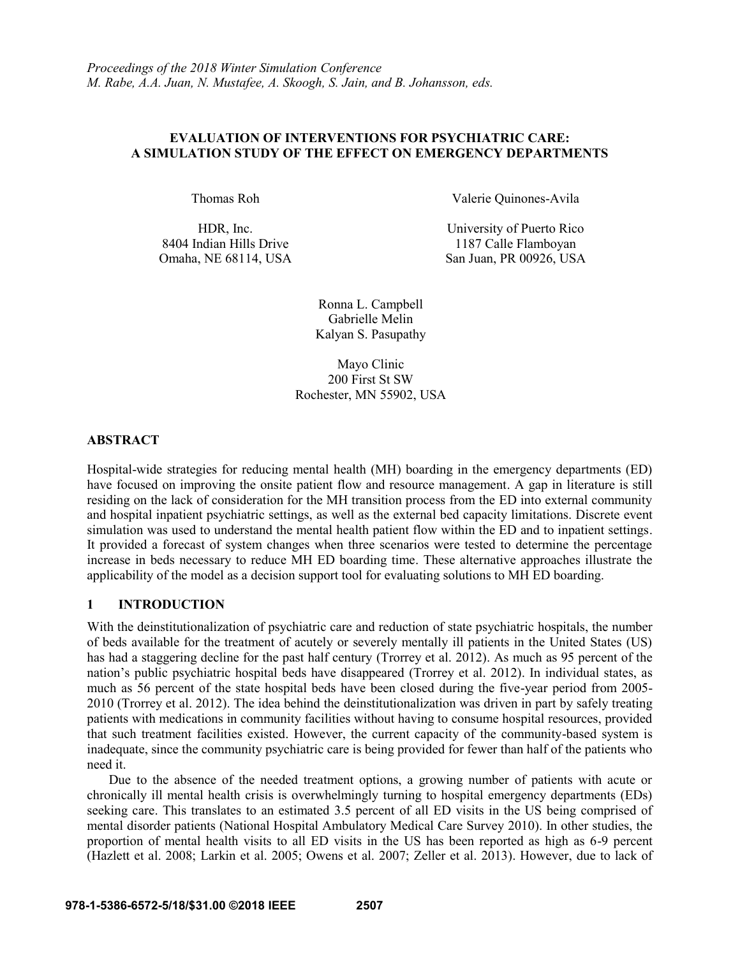## **EVALUATION OF INTERVENTIONS FOR PSYCHIATRIC CARE: A SIMULATION STUDY OF THE EFFECT ON EMERGENCY DEPARTMENTS**

HDR, Inc. 8404 Indian Hills Drive

Thomas Roh Valerie Quinones-Avila

University of Puerto Rico 1187 Calle Flamboyan Omaha, NE 68114, USA San Juan, PR 00926, USA

> Ronna L. Campbell Gabrielle Melin Kalyan S. Pasupathy

Mayo Clinic 200 First St SW Rochester, MN 55902, USA

### **ABSTRACT**

Hospital-wide strategies for reducing mental health (MH) boarding in the emergency departments (ED) have focused on improving the onsite patient flow and resource management. A gap in literature is still residing on the lack of consideration for the MH transition process from the ED into external community and hospital inpatient psychiatric settings, as well as the external bed capacity limitations. Discrete event simulation was used to understand the mental health patient flow within the ED and to inpatient settings. It provided a forecast of system changes when three scenarios were tested to determine the percentage increase in beds necessary to reduce MH ED boarding time. These alternative approaches illustrate the applicability of the model as a decision support tool for evaluating solutions to MH ED boarding.

## **1 INTRODUCTION**

With the deinstitutionalization of psychiatric care and reduction of state psychiatric hospitals, the number of beds available for the treatment of acutely or severely mentally ill patients in the United States (US) has had a staggering decline for the past half century (Trorrey et al. 2012). As much as 95 percent of the nation's public psychiatric hospital beds have disappeared (Trorrey et al. 2012). In individual states, as much as 56 percent of the state hospital beds have been closed during the five-year period from 2005- 2010 (Trorrey et al. 2012). The idea behind the deinstitutionalization was driven in part by safely treating patients with medications in community facilities without having to consume hospital resources, provided that such treatment facilities existed. However, the current capacity of the community-based system is inadequate, since the community psychiatric care is being provided for fewer than half of the patients who need it.

Due to the absence of the needed treatment options, a growing number of patients with acute or chronically ill mental health crisis is overwhelmingly turning to hospital emergency departments (EDs) seeking care. This translates to an estimated 3.5 percent of all ED visits in the US being comprised of mental disorder patients (National Hospital Ambulatory Medical Care Survey 2010). In other studies, the proportion of mental health visits to all ED visits in the US has been reported as high as 6-9 percent (Hazlett et al. 2008; Larkin et al. 2005; Owens et al. 2007; Zeller et al. 2013). However, due to lack of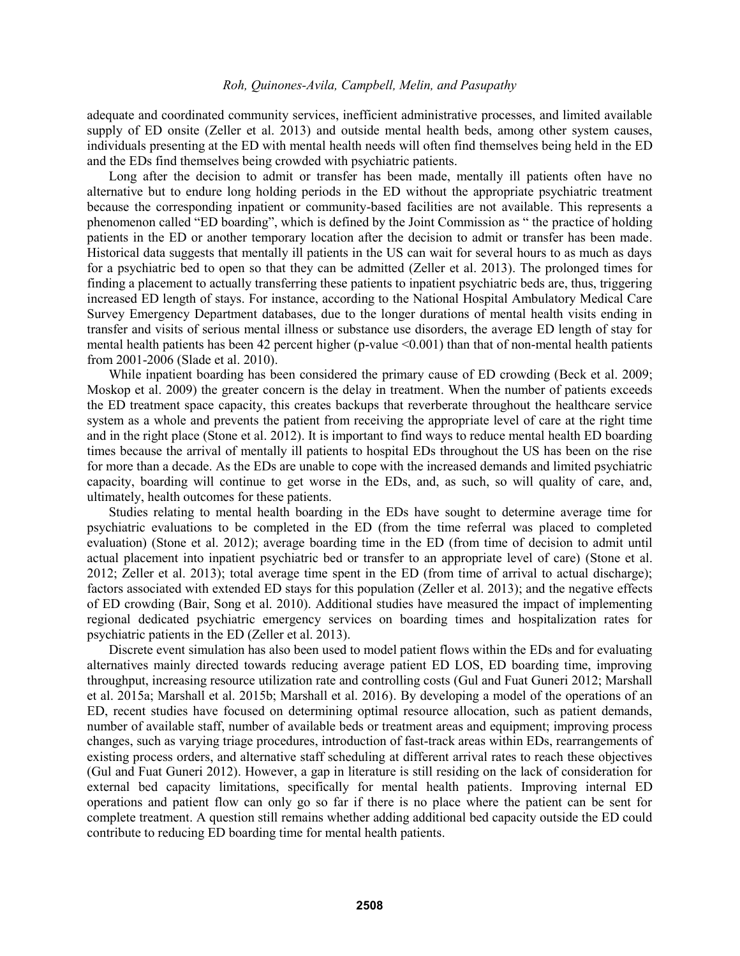adequate and coordinated community services, inefficient administrative processes, and limited available supply of ED onsite (Zeller et al. 2013) and outside mental health beds, among other system causes, individuals presenting at the ED with mental health needs will often find themselves being held in the ED and the EDs find themselves being crowded with psychiatric patients.

Long after the decision to admit or transfer has been made, mentally ill patients often have no alternative but to endure long holding periods in the ED without the appropriate psychiatric treatment because the corresponding inpatient or community-based facilities are not available. This represents a phenomenon called "ED boarding", which is defined by the Joint Commission as " the practice of holding patients in the ED or another temporary location after the decision to admit or transfer has been made. Historical data suggests that mentally ill patients in the US can wait for several hours to as much as days for a psychiatric bed to open so that they can be admitted (Zeller et al. 2013). The prolonged times for finding a placement to actually transferring these patients to inpatient psychiatric beds are, thus, triggering increased ED length of stays. For instance, according to the National Hospital Ambulatory Medical Care Survey Emergency Department databases, due to the longer durations of mental health visits ending in transfer and visits of serious mental illness or substance use disorders, the average ED length of stay for mental health patients has been 42 percent higher (p-value <0.001) than that of non-mental health patients from 2001-2006 (Slade et al. 2010).

While inpatient boarding has been considered the primary cause of ED crowding (Beck et al. 2009; Moskop et al. 2009) the greater concern is the delay in treatment. When the number of patients exceeds the ED treatment space capacity, this creates backups that reverberate throughout the healthcare service system as a whole and prevents the patient from receiving the appropriate level of care at the right time and in the right place (Stone et al. 2012). It is important to find ways to reduce mental health ED boarding times because the arrival of mentally ill patients to hospital EDs throughout the US has been on the rise for more than a decade. As the EDs are unable to cope with the increased demands and limited psychiatric capacity, boarding will continue to get worse in the EDs, and, as such, so will quality of care, and, ultimately, health outcomes for these patients.

Studies relating to mental health boarding in the EDs have sought to determine average time for psychiatric evaluations to be completed in the ED (from the time referral was placed to completed evaluation) (Stone et al. 2012); average boarding time in the ED (from time of decision to admit until actual placement into inpatient psychiatric bed or transfer to an appropriate level of care) (Stone et al. 2012; Zeller et al. 2013); total average time spent in the ED (from time of arrival to actual discharge); factors associated with extended ED stays for this population (Zeller et al. 2013); and the negative effects of ED crowding (Bair, Song et al. 2010). Additional studies have measured the impact of implementing regional dedicated psychiatric emergency services on boarding times and hospitalization rates for psychiatric patients in the ED (Zeller et al. 2013).

Discrete event simulation has also been used to model patient flows within the EDs and for evaluating alternatives mainly directed towards reducing average patient ED LOS, ED boarding time, improving throughput, increasing resource utilization rate and controlling costs (Gul and Fuat Guneri 2012; Marshall et al. 2015a; Marshall et al. 2015b; Marshall et al. 2016). By developing a model of the operations of an ED, recent studies have focused on determining optimal resource allocation, such as patient demands, number of available staff, number of available beds or treatment areas and equipment; improving process changes, such as varying triage procedures, introduction of fast-track areas within EDs, rearrangements of existing process orders, and alternative staff scheduling at different arrival rates to reach these objectives (Gul and Fuat Guneri 2012). However, a gap in literature is still residing on the lack of consideration for external bed capacity limitations, specifically for mental health patients. Improving internal ED operations and patient flow can only go so far if there is no place where the patient can be sent for complete treatment. A question still remains whether adding additional bed capacity outside the ED could contribute to reducing ED boarding time for mental health patients.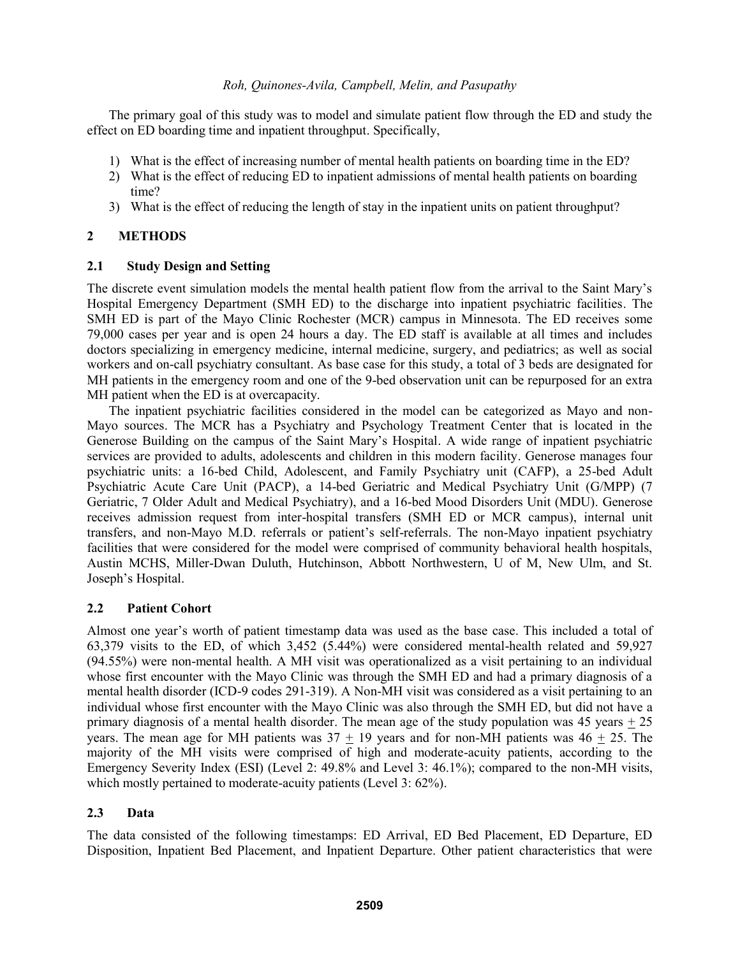The primary goal of this study was to model and simulate patient flow through the ED and study the effect on ED boarding time and inpatient throughput. Specifically,

- 1) What is the effect of increasing number of mental health patients on boarding time in the ED?
- 2) What is the effect of reducing ED to inpatient admissions of mental health patients on boarding time?
- 3) What is the effect of reducing the length of stay in the inpatient units on patient throughput?

# **2 METHODS**

## **2.1 Study Design and Setting**

The discrete event simulation models the mental health patient flow from the arrival to the Saint Mary's Hospital Emergency Department (SMH ED) to the discharge into inpatient psychiatric facilities. The SMH ED is part of the Mayo Clinic Rochester (MCR) campus in Minnesota. The ED receives some 79,000 cases per year and is open 24 hours a day. The ED staff is available at all times and includes doctors specializing in emergency medicine, internal medicine, surgery, and pediatrics; as well as social workers and on-call psychiatry consultant. As base case for this study, a total of 3 beds are designated for MH patients in the emergency room and one of the 9-bed observation unit can be repurposed for an extra MH patient when the ED is at overcapacity.

The inpatient psychiatric facilities considered in the model can be categorized as Mayo and non-Mayo sources. The MCR has a Psychiatry and Psychology Treatment Center that is located in the Generose Building on the campus of the Saint Mary's Hospital. A wide range of inpatient psychiatric services are provided to adults, adolescents and children in this modern facility. Generose manages four psychiatric units: a 16-bed Child, Adolescent, and Family Psychiatry unit (CAFP), a 25-bed Adult Psychiatric Acute Care Unit (PACP), a 14-bed Geriatric and Medical Psychiatry Unit (G/MPP) (7 Geriatric, 7 Older Adult and Medical Psychiatry), and a 16-bed Mood Disorders Unit (MDU). Generose receives admission request from inter-hospital transfers (SMH ED or MCR campus), internal unit transfers, and non-Mayo M.D. referrals or patient's self-referrals. The non-Mayo inpatient psychiatry facilities that were considered for the model were comprised of community behavioral health hospitals, Austin MCHS, Miller-Dwan Duluth, Hutchinson, Abbott Northwestern, U of M, New Ulm, and St. Joseph's Hospital.

## **2.2 Patient Cohort**

Almost one year's worth of patient timestamp data was used as the base case. This included a total of 63,379 visits to the ED, of which 3,452 (5.44%) were considered mental-health related and 59,927 (94.55%) were non-mental health. A MH visit was operationalized as a visit pertaining to an individual whose first encounter with the Mayo Clinic was through the SMH ED and had a primary diagnosis of a mental health disorder (ICD-9 codes 291-319). A Non-MH visit was considered as a visit pertaining to an individual whose first encounter with the Mayo Clinic was also through the SMH ED, but did not have a primary diagnosis of a mental health disorder. The mean age of the study population was  $45$  years  $+25$ years. The mean age for MH patients was  $37 + 19$  years and for non-MH patients was  $46 + 25$ . The majority of the MH visits were comprised of high and moderate-acuity patients, according to the Emergency Severity Index (ESI) (Level 2: 49.8% and Level 3: 46.1%); compared to the non-MH visits, which mostly pertained to moderate-acuity patients (Level 3: 62%).

## **2.3 Data**

The data consisted of the following timestamps: ED Arrival, ED Bed Placement, ED Departure, ED Disposition, Inpatient Bed Placement, and Inpatient Departure. Other patient characteristics that were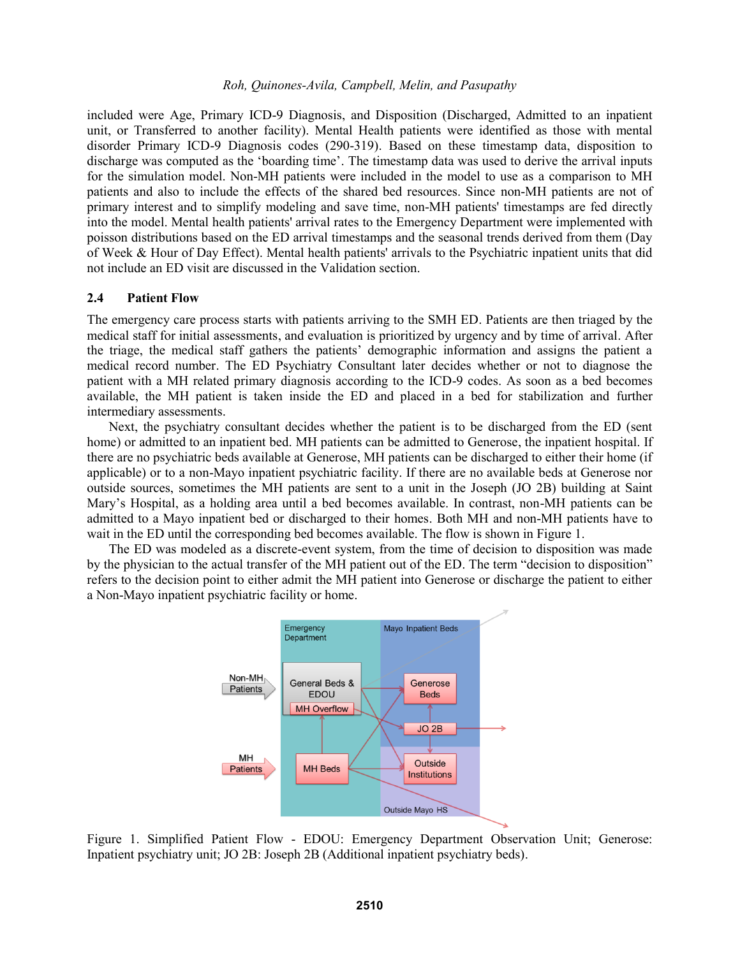included were Age, Primary ICD-9 Diagnosis, and Disposition (Discharged, Admitted to an inpatient unit, or Transferred to another facility). Mental Health patients were identified as those with mental disorder Primary ICD-9 Diagnosis codes (290-319). Based on these timestamp data, disposition to discharge was computed as the 'boarding time'. The timestamp data was used to derive the arrival inputs for the simulation model. Non-MH patients were included in the model to use as a comparison to MH patients and also to include the effects of the shared bed resources. Since non-MH patients are not of primary interest and to simplify modeling and save time, non-MH patients' timestamps are fed directly into the model. Mental health patients' arrival rates to the Emergency Department were implemented with poisson distributions based on the ED arrival timestamps and the seasonal trends derived from them (Day of Week & Hour of Day Effect). Mental health patients' arrivals to the Psychiatric inpatient units that did not include an ED visit are discussed in the Validation section.

### **2.4 Patient Flow**

The emergency care process starts with patients arriving to the SMH ED. Patients are then triaged by the medical staff for initial assessments, and evaluation is prioritized by urgency and by time of arrival. After the triage, the medical staff gathers the patients' demographic information and assigns the patient a medical record number. The ED Psychiatry Consultant later decides whether or not to diagnose the patient with a MH related primary diagnosis according to the ICD-9 codes. As soon as a bed becomes available, the MH patient is taken inside the ED and placed in a bed for stabilization and further intermediary assessments.

Next, the psychiatry consultant decides whether the patient is to be discharged from the ED (sent home) or admitted to an inpatient bed. MH patients can be admitted to Generose, the inpatient hospital. If there are no psychiatric beds available at Generose, MH patients can be discharged to either their home (if applicable) or to a non-Mayo inpatient psychiatric facility. If there are no available beds at Generose nor outside sources, sometimes the MH patients are sent to a unit in the Joseph (JO 2B) building at Saint Mary's Hospital, as a holding area until a bed becomes available. In contrast, non-MH patients can be admitted to a Mayo inpatient bed or discharged to their homes. Both MH and non-MH patients have to wait in the ED until the corresponding bed becomes available. The flow is shown in Figure 1.

The ED was modeled as a discrete-event system, from the time of decision to disposition was made by the physician to the actual transfer of the MH patient out of the ED. The term "decision to disposition" refers to the decision point to either admit the MH patient into Generose or discharge the patient to either a Non-Mayo inpatient psychiatric facility or home.



Figure 1. Simplified Patient Flow - EDOU: Emergency Department Observation Unit; Generose: Inpatient psychiatry unit; JO 2B: Joseph 2B (Additional inpatient psychiatry beds).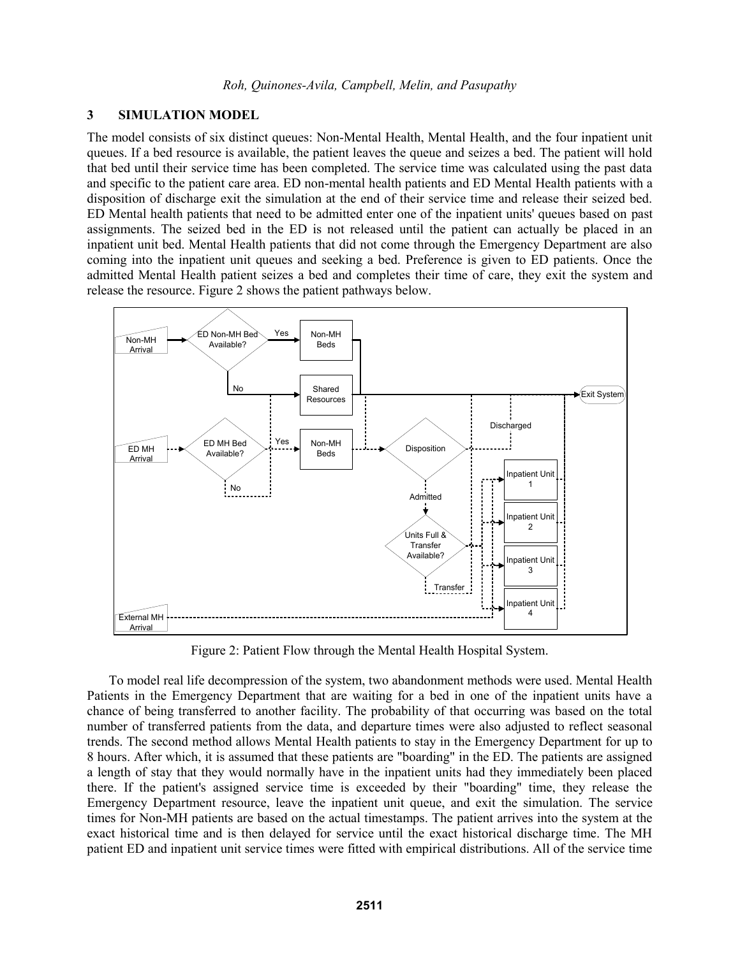### **3 SIMULATION MODEL**

The model consists of six distinct queues: Non-Mental Health, Mental Health, and the four inpatient unit queues. If a bed resource is available, the patient leaves the queue and seizes a bed. The patient will hold that bed until their service time has been completed. The service time was calculated using the past data and specific to the patient care area. ED non-mental health patients and ED Mental Health patients with a disposition of discharge exit the simulation at the end of their service time and release their seized bed. ED Mental health patients that need to be admitted enter one of the inpatient units' queues based on past assignments. The seized bed in the ED is not released until the patient can actually be placed in an inpatient unit bed. Mental Health patients that did not come through the Emergency Department are also coming into the inpatient unit queues and seeking a bed. Preference is given to ED patients. Once the admitted Mental Health patient seizes a bed and completes their time of care, they exit the system and release the resource. Figure 2 shows the patient pathways below.



Figure 2: Patient Flow through the Mental Health Hospital System.

To model real life decompression of the system, two abandonment methods were used. Mental Health Patients in the Emergency Department that are waiting for a bed in one of the inpatient units have a chance of being transferred to another facility. The probability of that occurring was based on the total number of transferred patients from the data, and departure times were also adjusted to reflect seasonal trends. The second method allows Mental Health patients to stay in the Emergency Department for up to 8 hours. After which, it is assumed that these patients are "boarding" in the ED. The patients are assigned a length of stay that they would normally have in the inpatient units had they immediately been placed there. If the patient's assigned service time is exceeded by their "boarding" time, they release the Emergency Department resource, leave the inpatient unit queue, and exit the simulation. The service times for Non-MH patients are based on the actual timestamps. The patient arrives into the system at the exact historical time and is then delayed for service until the exact historical discharge time. The MH patient ED and inpatient unit service times were fitted with empirical distributions. All of the service time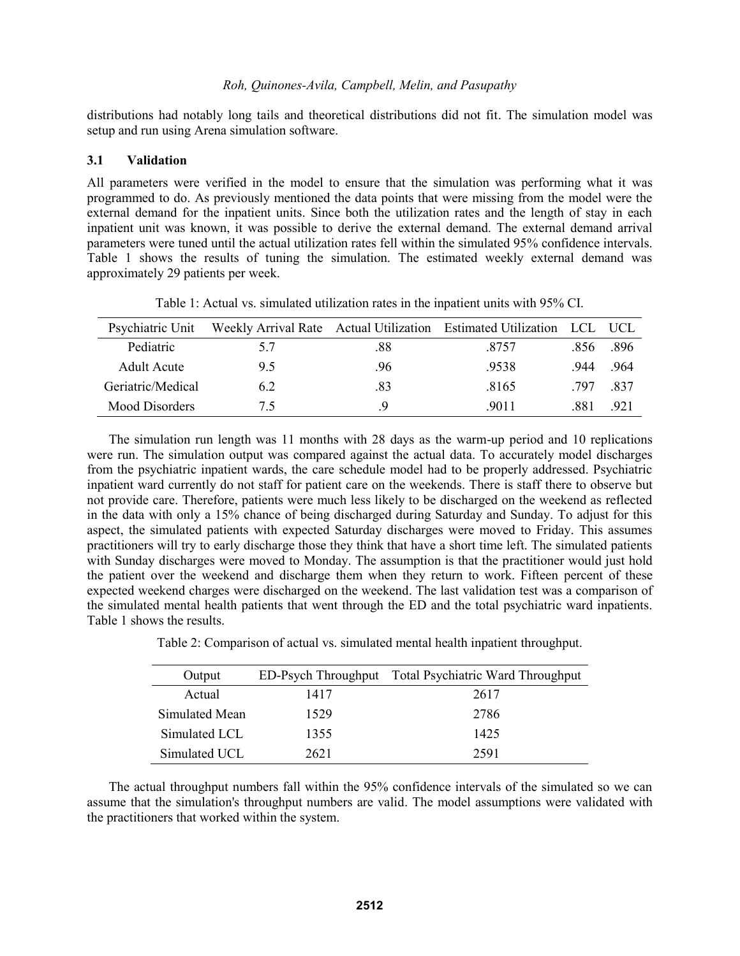distributions had notably long tails and theoretical distributions did not fit. The simulation model was setup and run using Arena simulation software.

#### **3.1 Validation**

All parameters were verified in the model to ensure that the simulation was performing what it was programmed to do. As previously mentioned the data points that were missing from the model were the external demand for the inpatient units. Since both the utilization rates and the length of stay in each inpatient unit was known, it was possible to derive the external demand. The external demand arrival parameters were tuned until the actual utilization rates fell within the simulated 95% confidence intervals. Table 1 shows the results of tuning the simulation. The estimated weekly external demand was approximately 29 patients per week.

| Psychiatric Unit      |     |      | Weekly Arrival Rate Actual Utilization Estimated Utilization LCL |     | — НСЕ |
|-----------------------|-----|------|------------------------------------------------------------------|-----|-------|
| Pediatric             | 5.7 | .88  | 8757                                                             | 856 | -896  |
| Adult Acute           | 95  | .96. | .9538                                                            | 944 | .964  |
| Geriatric/Medical     | 62  | .83  | .8165                                                            | 797 | -837  |
| <b>Mood Disorders</b> | 75  | Ч    | 9011                                                             | 881 | 921   |

Table 1: Actual vs. simulated utilization rates in the inpatient units with 95% CI.

The simulation run length was 11 months with 28 days as the warm-up period and 10 replications were run. The simulation output was compared against the actual data. To accurately model discharges from the psychiatric inpatient wards, the care schedule model had to be properly addressed. Psychiatric inpatient ward currently do not staff for patient care on the weekends. There is staff there to observe but not provide care. Therefore, patients were much less likely to be discharged on the weekend as reflected in the data with only a 15% chance of being discharged during Saturday and Sunday. To adjust for this aspect, the simulated patients with expected Saturday discharges were moved to Friday. This assumes practitioners will try to early discharge those they think that have a short time left. The simulated patients with Sunday discharges were moved to Monday. The assumption is that the practitioner would just hold the patient over the weekend and discharge them when they return to work. Fifteen percent of these expected weekend charges were discharged on the weekend. The last validation test was a comparison of the simulated mental health patients that went through the ED and the total psychiatric ward inpatients. Table 1 shows the results.

| Output         |      | ED-Psych Throughput Total Psychiatric Ward Throughput |
|----------------|------|-------------------------------------------------------|
| Actual         | 1417 | 2617                                                  |
| Simulated Mean | 1529 | 2786                                                  |
| Simulated LCL  | 1355 | 1425                                                  |
| Simulated UCL  | 2621 | 2591                                                  |

Table 2: Comparison of actual vs. simulated mental health inpatient throughput.

The actual throughput numbers fall within the 95% confidence intervals of the simulated so we can assume that the simulation's throughput numbers are valid. The model assumptions were validated with the practitioners that worked within the system.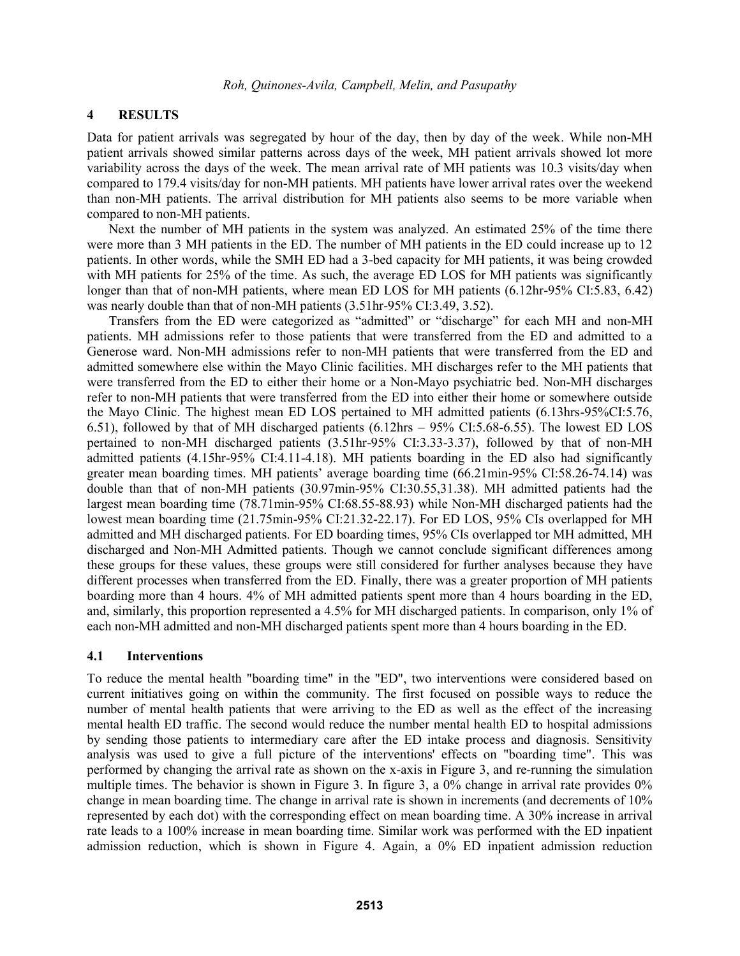## **4 RESULTS**

Data for patient arrivals was segregated by hour of the day, then by day of the week. While non-MH patient arrivals showed similar patterns across days of the week, MH patient arrivals showed lot more variability across the days of the week. The mean arrival rate of MH patients was 10.3 visits/day when compared to 179.4 visits/day for non-MH patients. MH patients have lower arrival rates over the weekend than non-MH patients. The arrival distribution for MH patients also seems to be more variable when compared to non-MH patients.

Next the number of MH patients in the system was analyzed. An estimated 25% of the time there were more than 3 MH patients in the ED. The number of MH patients in the ED could increase up to 12 patients. In other words, while the SMH ED had a 3-bed capacity for MH patients, it was being crowded with MH patients for 25% of the time. As such, the average ED LOS for MH patients was significantly longer than that of non-MH patients, where mean ED LOS for MH patients (6.12hr-95% CI:5.83, 6.42) was nearly double than that of non-MH patients (3.51hr-95% CI:3.49, 3.52).

Transfers from the ED were categorized as "admitted" or "discharge" for each MH and non-MH patients. MH admissions refer to those patients that were transferred from the ED and admitted to a Generose ward. Non-MH admissions refer to non-MH patients that were transferred from the ED and admitted somewhere else within the Mayo Clinic facilities. MH discharges refer to the MH patients that were transferred from the ED to either their home or a Non-Mayo psychiatric bed. Non-MH discharges refer to non-MH patients that were transferred from the ED into either their home or somewhere outside the Mayo Clinic. The highest mean ED LOS pertained to MH admitted patients (6.13hrs-95%CI:5.76, 6.51), followed by that of MH discharged patients (6.12hrs – 95% CI:5.68-6.55). The lowest ED LOS pertained to non-MH discharged patients (3.51hr-95% CI:3.33-3.37), followed by that of non-MH admitted patients (4.15hr-95% CI:4.11-4.18). MH patients boarding in the ED also had significantly greater mean boarding times. MH patients' average boarding time (66.21min-95% CI:58.26-74.14) was double than that of non-MH patients (30.97min-95% CI:30.55,31.38). MH admitted patients had the largest mean boarding time (78.71min-95% CI:68.55-88.93) while Non-MH discharged patients had the lowest mean boarding time (21.75min-95% CI:21.32-22.17). For ED LOS, 95% CIs overlapped for MH admitted and MH discharged patients. For ED boarding times, 95% CIs overlapped tor MH admitted, MH discharged and Non-MH Admitted patients. Though we cannot conclude significant differences among these groups for these values, these groups were still considered for further analyses because they have different processes when transferred from the ED. Finally, there was a greater proportion of MH patients boarding more than 4 hours. 4% of MH admitted patients spent more than 4 hours boarding in the ED, and, similarly, this proportion represented a 4.5% for MH discharged patients. In comparison, only 1% of each non-MH admitted and non-MH discharged patients spent more than 4 hours boarding in the ED.

#### **4.1 Interventions**

To reduce the mental health "boarding time" in the "ED", two interventions were considered based on current initiatives going on within the community. The first focused on possible ways to reduce the number of mental health patients that were arriving to the ED as well as the effect of the increasing mental health ED traffic. The second would reduce the number mental health ED to hospital admissions by sending those patients to intermediary care after the ED intake process and diagnosis. Sensitivity analysis was used to give a full picture of the interventions' effects on "boarding time". This was performed by changing the arrival rate as shown on the x-axis in Figure 3, and re-running the simulation multiple times. The behavior is shown in Figure 3. In figure 3, a 0% change in arrival rate provides 0% change in mean boarding time. The change in arrival rate is shown in increments (and decrements of 10% represented by each dot) with the corresponding effect on mean boarding time. A 30% increase in arrival rate leads to a 100% increase in mean boarding time. Similar work was performed with the ED inpatient admission reduction, which is shown in Figure 4. Again, a 0% ED inpatient admission reduction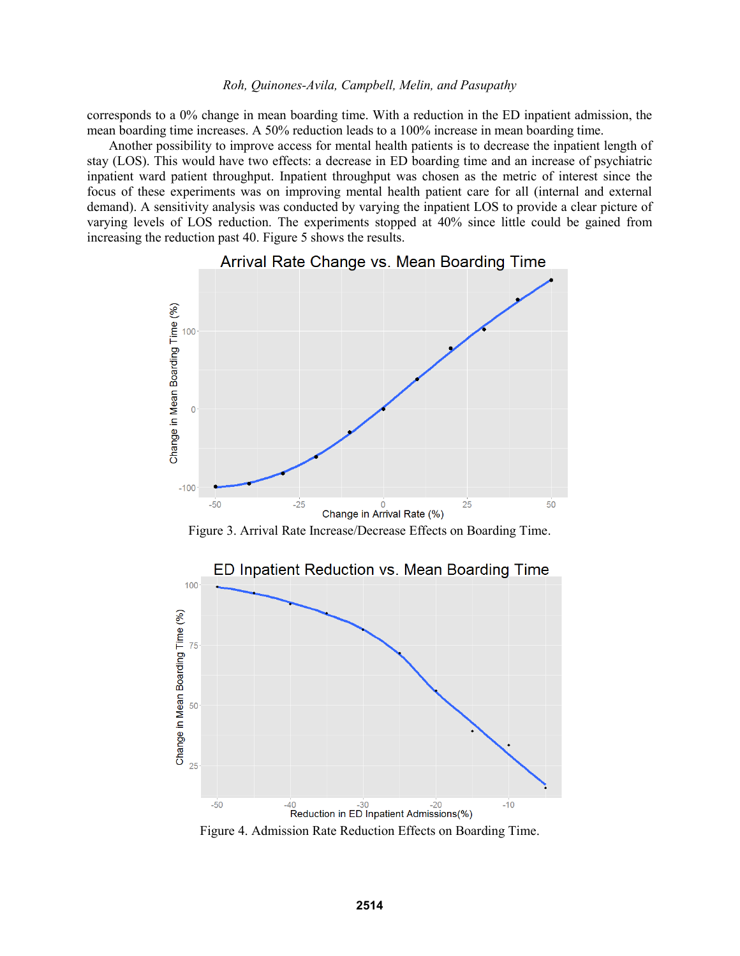corresponds to a 0% change in mean boarding time. With a reduction in the ED inpatient admission, the mean boarding time increases. A 50% reduction leads to a 100% increase in mean boarding time.

Another possibility to improve access for mental health patients is to decrease the inpatient length of stay (LOS). This would have two effects: a decrease in ED boarding time and an increase of psychiatric inpatient ward patient throughput. Inpatient throughput was chosen as the metric of interest since the focus of these experiments was on improving mental health patient care for all (internal and external demand). A sensitivity analysis was conducted by varying the inpatient LOS to provide a clear picture of varying levels of LOS reduction. The experiments stopped at 40% since little could be gained from increasing the reduction past 40. Figure 5 shows the results.



Arrival Rate Change vs. Mean Boarding Time

Figure 3. Arrival Rate Increase/Decrease Effects on Boarding Time.



Figure 4. Admission Rate Reduction Effects on Boarding Time.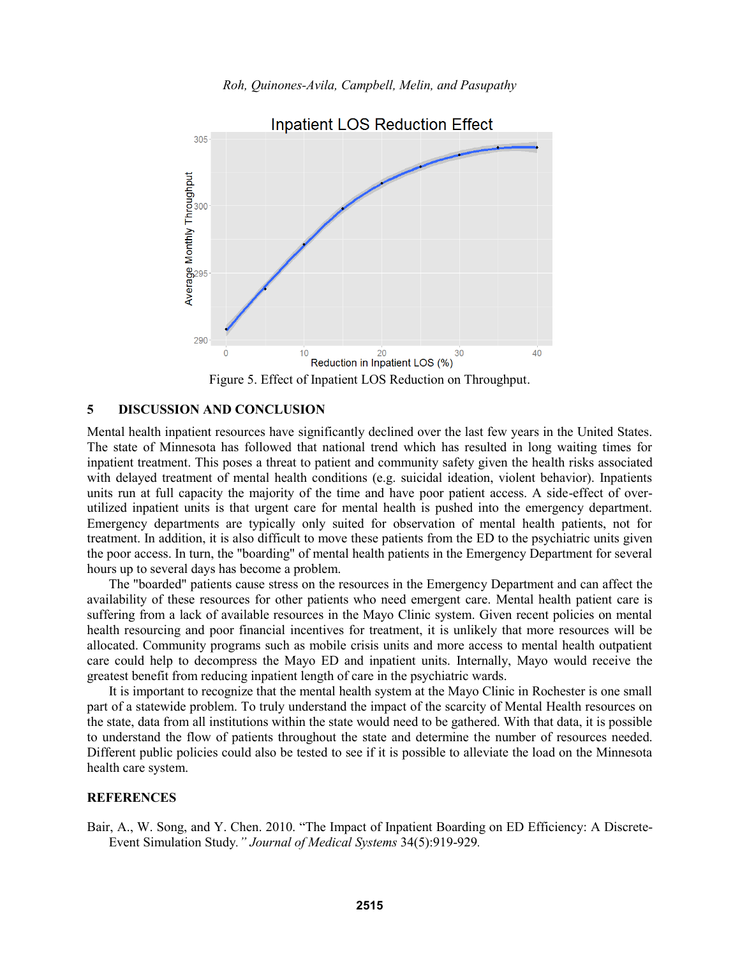

Figure 5. Effect of Inpatient LOS Reduction on Throughput.

### **5 DISCUSSION AND CONCLUSION**

Mental health inpatient resources have significantly declined over the last few years in the United States. The state of Minnesota has followed that national trend which has resulted in long waiting times for inpatient treatment. This poses a threat to patient and community safety given the health risks associated with delayed treatment of mental health conditions (e.g. suicidal ideation, violent behavior). Inpatients units run at full capacity the majority of the time and have poor patient access. A side-effect of overutilized inpatient units is that urgent care for mental health is pushed into the emergency department. Emergency departments are typically only suited for observation of mental health patients, not for treatment. In addition, it is also difficult to move these patients from the ED to the psychiatric units given the poor access. In turn, the "boarding" of mental health patients in the Emergency Department for several hours up to several days has become a problem.

The "boarded" patients cause stress on the resources in the Emergency Department and can affect the availability of these resources for other patients who need emergent care. Mental health patient care is suffering from a lack of available resources in the Mayo Clinic system. Given recent policies on mental health resourcing and poor financial incentives for treatment, it is unlikely that more resources will be allocated. Community programs such as mobile crisis units and more access to mental health outpatient care could help to decompress the Mayo ED and inpatient units. Internally, Mayo would receive the greatest benefit from reducing inpatient length of care in the psychiatric wards.

It is important to recognize that the mental health system at the Mayo Clinic in Rochester is one small part of a statewide problem. To truly understand the impact of the scarcity of Mental Health resources on the state, data from all institutions within the state would need to be gathered. With that data, it is possible to understand the flow of patients throughout the state and determine the number of resources needed. Different public policies could also be tested to see if it is possible to alleviate the load on the Minnesota health care system.

#### **REFERENCES**

Bair, A., W. Song, and Y. Chen. 2010. "The Impact of Inpatient Boarding on ED Efficiency: A Discrete-Event Simulation Study*." Journal of Medical Systems* 34(5):919-929*.*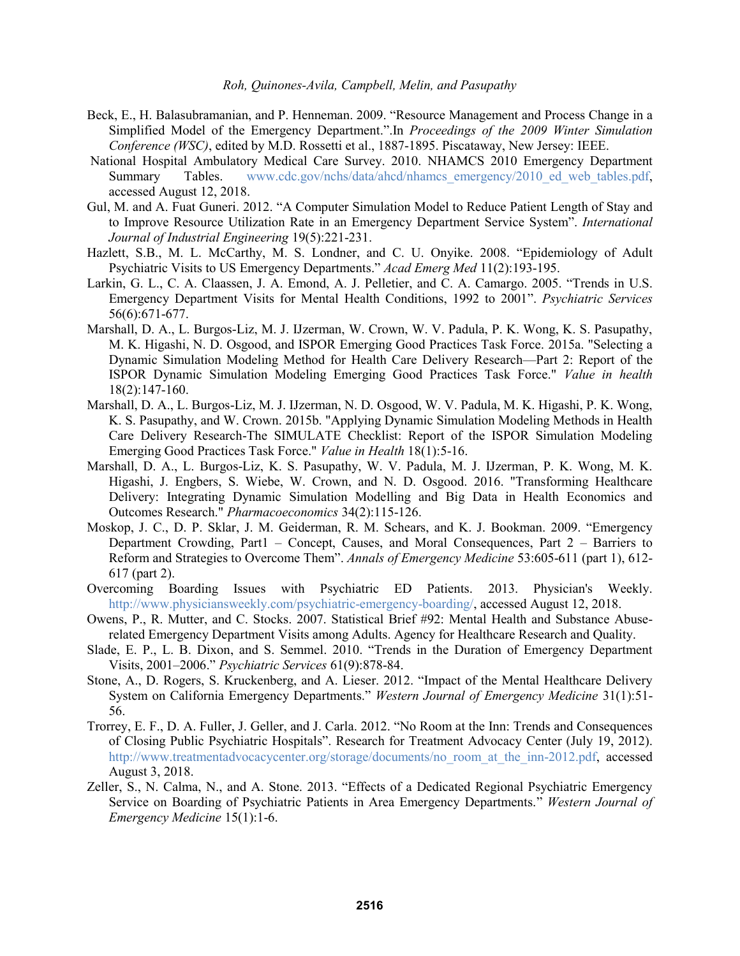- Beck, E., H. Balasubramanian, and P. Henneman. 2009. "Resource Management and Process Change in a Simplified Model of the Emergency Department.".In *Proceedings of the 2009 Winter Simulation Conference (WSC)*, edited by M.D. Rossetti et al., 1887-1895. Piscataway, New Jersey: IEEE.
- National Hospital Ambulatory Medical Care Survey. 2010. NHAMCS 2010 Emergency Department Summary Tables. www.cdc.gov/nchs/data/ahcd/nhamcs\_emergency/2010\_ed\_web\_tables.pdf, accessed August 12, 2018.
- Gul, M. and A. Fuat Guneri. 2012. "A Computer Simulation Model to Reduce Patient Length of Stay and to Improve Resource Utilization Rate in an Emergency Department Service System". *International Journal of Industrial Engineering* 19(5):221-231.
- Hazlett, S.B., M. L. McCarthy, M. S. Londner, and C. U. Onyike. 2008. "Epidemiology of Adult Psychiatric Visits to US Emergency Departments." *Acad Emerg Med* 11(2):193-195.
- Larkin, G. L., C. A. Claassen, J. A. Emond, A. J. Pelletier, and C. A. Camargo. 2005. "Trends in U.S. Emergency Department Visits for Mental Health Conditions, 1992 to 2001". *Psychiatric Services* 56(6):671-677.
- Marshall, D. A., L. Burgos-Liz, M. J. IJzerman, W. Crown, W. V. Padula, P. K. Wong, K. S. Pasupathy, M. K. Higashi, N. D. Osgood, and ISPOR Emerging Good Practices Task Force. 2015a. "Selecting a Dynamic Simulation Modeling Method for Health Care Delivery Research—Part 2: Report of the ISPOR Dynamic Simulation Modeling Emerging Good Practices Task Force." *Value in health* 18(2):147-160.
- Marshall, D. A., L. Burgos-Liz, M. J. IJzerman, N. D. Osgood, W. V. Padula, M. K. Higashi, P. K. Wong, K. S. Pasupathy, and W. Crown. 2015b. "Applying Dynamic Simulation Modeling Methods in Health Care Delivery Research-The SIMULATE Checklist: Report of the ISPOR Simulation Modeling Emerging Good Practices Task Force." *Value in Health* 18(1):5-16.
- Marshall, D. A., L. Burgos-Liz, K. S. Pasupathy, W. V. Padula, M. J. IJzerman, P. K. Wong, M. K. Higashi, J. Engbers, S. Wiebe, W. Crown, and N. D. Osgood. 2016. "Transforming Healthcare Delivery: Integrating Dynamic Simulation Modelling and Big Data in Health Economics and Outcomes Research." *Pharmacoeconomics* 34(2):115-126.
- Moskop, J. C., D. P. Sklar, J. M. Geiderman, R. M. Schears, and K. J. Bookman. 2009. "Emergency Department Crowding, Part1 – Concept, Causes, and Moral Consequences, Part 2 – Barriers to Reform and Strategies to Overcome Them". *Annals of Emergency Medicine* 53:605-611 (part 1), 612- 617 (part 2).
- Overcoming Boarding Issues with Psychiatric ED Patients. 2013. Physician's Weekly. http://www.physiciansweekly.com/psychiatric-emergency-boarding/, accessed August 12, 2018.
- Owens, P., R. Mutter, and C. Stocks. 2007. Statistical Brief #92: Mental Health and Substance Abuserelated Emergency Department Visits among Adults. Agency for Healthcare Research and Quality.
- Slade, E. P., L. B. Dixon, and S. Semmel. 2010. "Trends in the Duration of Emergency Department Visits, 2001–2006." *Psychiatric Services* 61(9):878-84.
- Stone, A., D. Rogers, S. Kruckenberg, and A. Lieser. 2012. "Impact of the Mental Healthcare Delivery System on California Emergency Departments." *Western Journal of Emergency Medicine* 31(1):51- 56.
- Trorrey, E. F., D. A. Fuller, J. Geller, and J. Carla. 2012. "No Room at the Inn: Trends and Consequences of Closing Public Psychiatric Hospitals". Research for Treatment Advocacy Center (July 19, 2012). http://www.treatmentadvocacycenter.org/storage/documents/no\_room\_at\_the\_inn-2012.pdf, accessed August 3, 2018.
- Zeller, S., N. Calma, N., and A. Stone. 2013. "Effects of a Dedicated Regional Psychiatric Emergency Service on Boarding of Psychiatric Patients in Area Emergency Departments." *Western Journal of Emergency Medicine* 15(1):1-6.